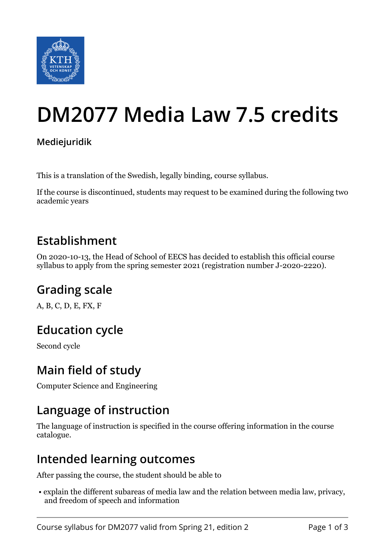

# **DM2077 Media Law 7.5 credits**

#### **Mediejuridik**

This is a translation of the Swedish, legally binding, course syllabus.

If the course is discontinued, students may request to be examined during the following two academic years

#### **Establishment**

On 2020-10-13, the Head of School of EECS has decided to establish this official course syllabus to apply from the spring semester 2021 (registration number J-2020-2220).

### **Grading scale**

A, B, C, D, E, FX, F

### **Education cycle**

Second cycle

#### **Main field of study**

Computer Science and Engineering

### **Language of instruction**

The language of instruction is specified in the course offering information in the course catalogue.

#### **Intended learning outcomes**

After passing the course, the student should be able to

 • explain the different subareas of media law and the relation between media law, privacy, and freedom of speech and information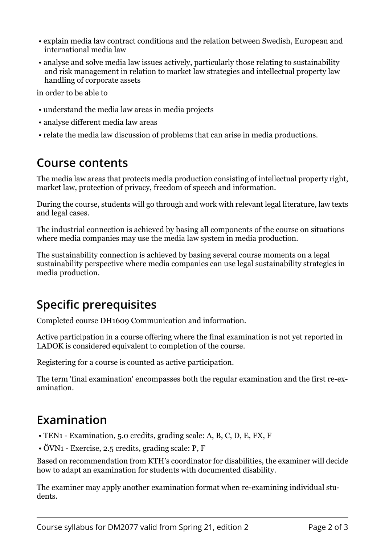- explain media law contract conditions and the relation between Swedish, European and international media law
- analyse and solve media law issues actively, particularly those relating to sustainability and risk management in relation to market law strategies and intellectual property law handling of corporate assets

in order to be able to

- understand the media law areas in media projects
- analyse different media law areas
- relate the media law discussion of problems that can arise in media productions.

#### **Course contents**

The media law areas that protects media production consisting of intellectual property right, market law, protection of privacy, freedom of speech and information.

During the course, students will go through and work with relevant legal literature, law texts and legal cases.

The industrial connection is achieved by basing all components of the course on situations where media companies may use the media law system in media production.

The sustainability connection is achieved by basing several course moments on a legal sustainability perspective where media companies can use legal sustainability strategies in media production.

### **Specific prerequisites**

Completed course DH1609 Communication and information.

Active participation in a course offering where the final examination is not yet reported in LADOK is considered equivalent to completion of the course.

Registering for a course is counted as active participation.

The term 'final examination' encompasses both the regular examination and the first re-examination.

### **Examination**

- TEN1 Examination, 5.0 credits, grading scale: A, B, C, D, E, FX, F
- ÖVN1 Exercise, 2.5 credits, grading scale: P, F

Based on recommendation from KTH's coordinator for disabilities, the examiner will decide how to adapt an examination for students with documented disability.

The examiner may apply another examination format when re-examining individual students.